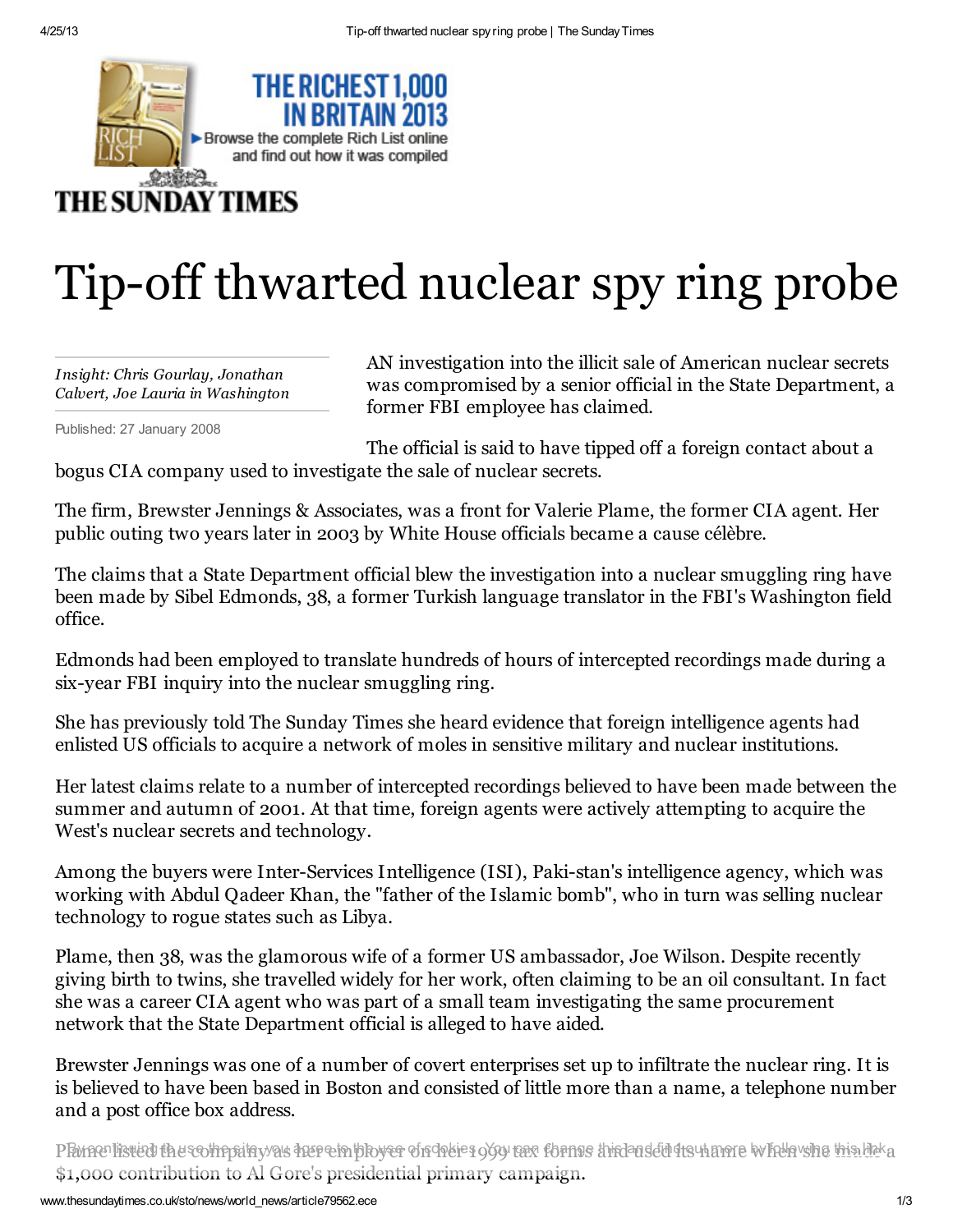

## Tip-off thwarted nuclear spy ring probe

*Insight: Chris Gourlay, Jonathan Calvert, Joe Lauria in Washington*

Published: 27 January 2008

AN investigation into the illicit sale of American nuclear secrets was compromised by a senior official in the State Department, a former FBI employee has claimed.

The official is said to have tipped off a foreign contact about a bogus CIA company used to investigate the sale of nuclear secrets.

The firm, Brewster Jennings & Associates, was a front for Valerie Plame, the former CIA agent. Her public outing two years later in 2003 by White House officials became a cause célèbre.

The claims that a State Department official blew the investigation into a nuclear smuggling ring have been made by Sibel Edmonds, 38, a former Turkish language translator in the FBI's Washington field office.

Edmonds had been employed to translate hundreds of hours of intercepted recordings made during a six-year FBI inquiry into the nuclear smuggling ring.

She has previously told The Sunday Times she heard evidence that foreign intelligence agents had enlisted US officials to acquire a network of moles in sensitive military and nuclear institutions.

Her latest claims relate to a number of intercepted recordings believed to have been made between the summer and autumn of 2001. At that time, foreign agents were actively attempting to acquire the West's nuclear secrets and technology.

Among the buyers were Inter-Services Intelligence (ISI), Paki-stan's intelligence agency, which was working with Abdul Qadeer Khan, the "father of the Islamic bomb", who in turn was selling nuclear technology to rogue states such as Libya.

Plame, then 38, was the glamorous wife of a former US ambassador, Joe Wilson. Despite recently giving birth to twins, she travelled widely for her work, often claiming to be an oil consultant. In fact she was a career CIA agent who was part of a small team investigating the same procurement network that the State Department official is alleged to have aided.

Brewster Jennings was one of a number of covert enterprises set up to infiltrate the nuclear ring. It is is believed to have been based in Boston and consisted of little more than a name, a telephone number and a post office box address.

PPwneollisted the sothopitay/as heep ein the yer of chates 959 tax forms this and edil ts uname whele she his lick a \$1,000 contribution to Al Gore's presidential primary campaign.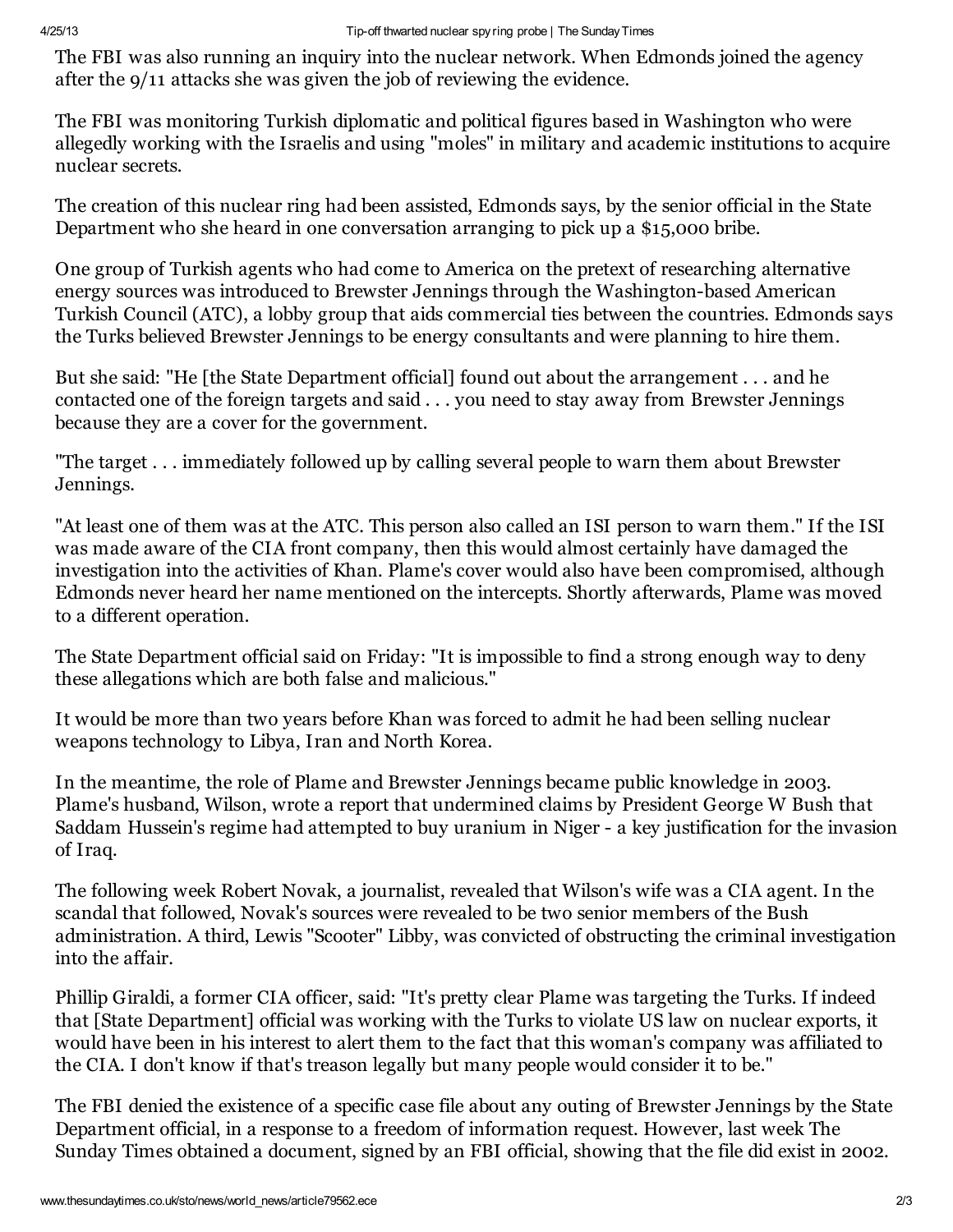The FBI was also running an inquiry into the nuclear network. When Edmonds joined the agency after the 9/11 attacks she was given the job of reviewing the evidence.

The FBI was monitoring Turkish diplomatic and political figures based in Washington who were allegedly working with the Israelis and using "moles" in military and academic institutions to acquire nuclear secrets.

The creation of this nuclear ring had been assisted, Edmonds says, by the senior official in the State Department who she heard in one conversation arranging to pick up a \$15,000 bribe.

One group of Turkish agents who had come to America on the pretext of researching alternative energy sources was introduced to Brewster Jennings through the Washington-based American Turkish Council (ATC), a lobby group that aids commercial ties between the countries. Edmonds says the Turks believed Brewster Jennings to be energy consultants and were planning to hire them.

But she said: "He [the State Department official] found out about the arrangement . . . and he contacted one of the foreign targets and said . . . you need to stay away from Brewster Jennings because they are a cover for the government.

"The target . . . immediately followed up by calling several people to warn them about Brewster Jennings.

"At least one of them was at the ATC. This person also called an ISI person to warn them." If the ISI was made aware of the CIA front company, then this would almost certainly have damaged the investigation into the activities of Khan. Plame's cover would also have been compromised, although Edmonds never heard her name mentioned on the intercepts. Shortly afterwards, Plame was moved to a different operation.

The State Department official said on Friday: "It is impossible to find a strong enough way to deny these allegations which are both false and malicious."

It would be more than two years before Khan was forced to admit he had been selling nuclear weapons technology to Libya, Iran and North Korea.

In the meantime, the role of Plame and Brewster Jennings became public knowledge in 2003. Plame's husband, Wilson, wrote a report that undermined claims by President George W Bush that Saddam Hussein's regime had attempted to buy uranium in Niger - a key justification for the invasion of Iraq.

The following week Robert Novak, a journalist, revealed that Wilson's wife was a CIA agent. In the scandal that followed, Novak's sources were revealed to be two senior members of the Bush administration. A third, Lewis "Scooter" Libby, was convicted of obstructing the criminal investigation into the affair.

Phillip Giraldi, a former CIA officer, said: "It's pretty clear Plame was targeting the Turks. If indeed that [State Department] official was working with the Turks to violate US law on nuclear exports, it would have been in his interest to alert them to the fact that this woman's company was affiliated to the CIA. I don't know if that's treason legally but many people would consider it to be."

The FBI denied the existence of a specific case file about any outing of Brewster Jennings by the State Department official, in a response to a freedom of information request. However, last week The Sunday Times obtained a document, signed by an FBI official, showing that the file did exist in 2002.